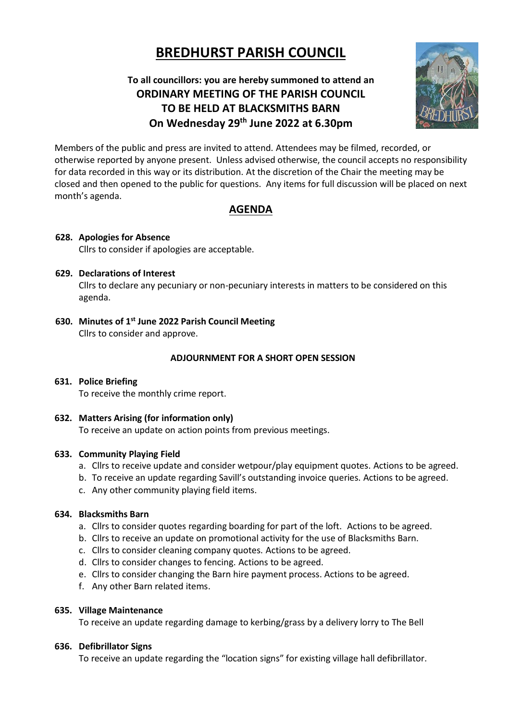# **BREDHURST PARISH COUNCIL**

# **To all councillors: you are hereby summoned to attend an ORDINARY MEETING OF THE PARISH COUNCIL TO BE HELD AT BLACKSMITHS BARN On Wednesday 29th June 2022 at 6.30pm**



Members of the public and press are invited to attend. Attendees may be filmed, recorded, or otherwise reported by anyone present. Unless advised otherwise, the council accepts no responsibility for data recorded in this way or its distribution. At the discretion of the Chair the meeting may be closed and then opened to the public for questions. Any items for full discussion will be placed on next month's agenda.

# **AGENDA**

# **628. Apologies for Absence**

Cllrs to consider if apologies are acceptable.

# **629. Declarations of Interest**

Cllrs to declare any pecuniary or non-pecuniary interests in matters to be considered on this agenda.

**630. Minutes of 1 st June 2022 Parish Council Meeting**  Cllrs to consider and approve.

# **ADJOURNMENT FOR A SHORT OPEN SESSION**

# **631. Police Briefing** To receive the monthly crime report.

**632. Matters Arising (for information only)** To receive an update on action points from previous meetings.

# **633. Community Playing Field**

- a. Cllrs to receive update and consider wetpour/play equipment quotes. Actions to be agreed.
- b. To receive an update regarding Savill's outstanding invoice queries. Actions to be agreed.
- c. Any other community playing field items.

# **634. Blacksmiths Barn**

- a. Cllrs to consider quotes regarding boarding for part of the loft. Actions to be agreed.
- b. Cllrs to receive an update on promotional activity for the use of Blacksmiths Barn.
- c. Cllrs to consider cleaning company quotes. Actions to be agreed.
- d. Cllrs to consider changes to fencing. Actions to be agreed.
- e. Cllrs to consider changing the Barn hire payment process. Actions to be agreed.
- f. Any other Barn related items.

# **635. Village Maintenance**

To receive an update regarding damage to kerbing/grass by a delivery lorry to The Bell

# **636. Defibrillator Signs**

To receive an update regarding the "location signs" for existing village hall defibrillator.